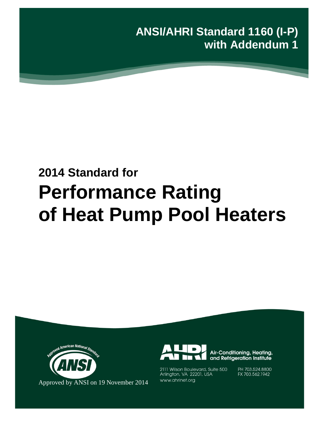**ANSI/AHRI Standard 1160 (I-P) with Addendum 1**

# **2014 Standard for Performance Rating of Heat Pump Pool Heaters**





Air-Conditioning, Heating, and Refrigeration Institute

2111 Wilson Boulevard, Suite 500 Arlington, VA 22201, USA www.ahrinet.org

PH 703.524.8800 FX 703.562.1942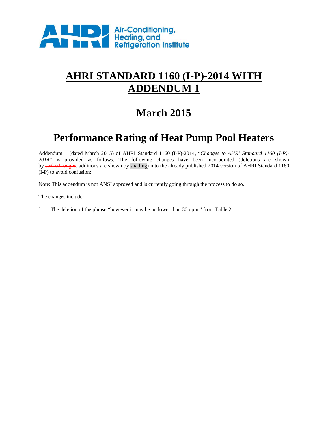

# **AHRI STANDARD 1160 (I-P)-2014 WITH ADDENDUM 1**

# **March 2015**

# **Performance Rating of Heat Pump Pool Heaters**

Addendum 1 (dated March 2015) of AHRI Standard 1160 (I-P)-2014, "*Changes to AHRI Standard 1160 (I-P)- 2014"* is provided as follows. The following changes have been incorporated (deletions are shown by strikethroughs, additions are shown by shading) into the already published 2014 version of AHRI Standard 1160 (I-P) to avoid confusion:

Note: This addendum is not ANSI approved and is currently going through the process to do so.

The changes include:

1. The deletion of the phrase "however it may be no lower than 30 gpm." from Table 2.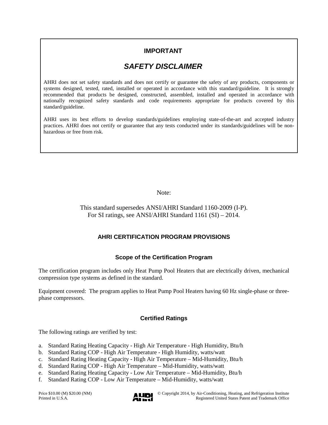### **IMPORTANT**

## *SAFETY DISCLAIMER*

AHRI does not set safety standards and does not certify or guarantee the safety of any products, components or systems designed, tested, rated, installed or operated in accordance with this standard/guideline. It is strongly recommended that products be designed, constructed, assembled, installed and operated in accordance with nationally recognized safety standards and code requirements appropriate for products covered by this standard/guideline.

AHRI uses its best efforts to develop standards/guidelines employing state-of-the-art and accepted industry practices. AHRI does not certify or guarantee that any tests conducted under its standards/guidelines will be nonhazardous or free from risk.

Note:

This standard supersedes ANSI/AHRI Standard 1160-2009 (I-P). For SI ratings, see ANSI/AHRI Standard 1161 (SI) – 2014.

### **AHRI CERTIFICATION PROGRAM PROVISIONS**

### **Scope of the Certification Program**

The certification program includes only Heat Pump Pool Heaters that are electrically driven, mechanical compression type systems as defined in the standard.

Equipment covered: The program applies to Heat Pump Pool Heaters having 60 Hz single-phase or threephase compressors.

#### **Certified Ratings**

The following ratings are verified by test:

- a. Standard Rating Heating Capacity High Air Temperature High Humidity, Btu/h
- b. Standard Rating COP High Air Temperature High Humidity, watts/watt
- c. Standard Rating Heating Capacity High Air Temperature Mid-Humidity, Btu/h
- d. Standard Rating COP High Air Temperature Mid-Humidity, watts/watt
- e. Standard Rating Heating Capacity Low Air Temperature Mid-Humidity, Btu/h
- f. Standard Rating COP Low Air Temperature Mid-Humidity, watts/watt

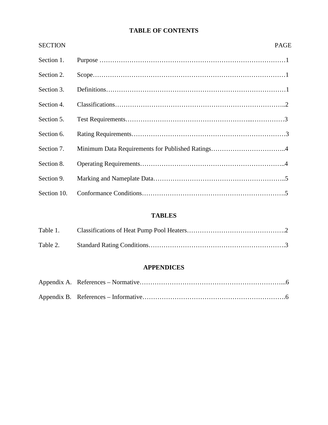### **TABLE OF CONTENTS**

| <b>SECTION</b> | <b>PAGE</b> |
|----------------|-------------|
| Section 1.     |             |
| Section 2.     |             |
| Section 3.     |             |
| Section 4.     |             |
| Section 5.     |             |
| Section 6.     |             |
| Section 7.     |             |
| Section 8.     |             |
| Section 9.     |             |
| Section 10.    |             |

### **TABLES**

### **APPENDICES**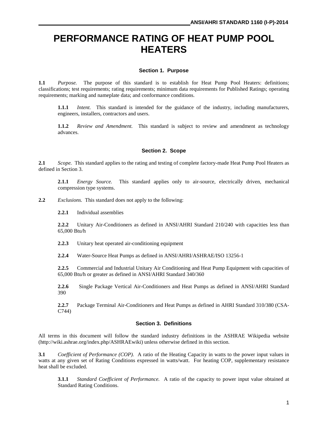# **PERFORMANCE RATING OF HEAT PUMP POOL HEATERS**

#### **Section 1. Purpose**

**1.1** *Purpose.* The purpose of this standard is to establish for Heat Pump Pool Heaters: definitions; classifications; test requirements; rating requirements; minimum data requirements for Published Ratings; operating requirements; marking and nameplate data; and conformance conditions.

**1.1.1** *Intent.* This standard is intended for the guidance of the industry, including manufacturers, engineers, installers, contractors and users.

**1.1.2** *Review and Amendment.* This standard is subject to review and amendment as technology advances.

#### **Section 2. Scope**

**2.1** *Scope.* This standard applies to the rating and testing of complete factory-made Heat Pump Pool Heaters as defined in Section 3.

**2.1.1** *Energy Source.* This standard applies only to air-source, electrically driven, mechanical compression type systems.

**2.2** *Exclusions.* This standard does not apply to the following:

**2.2.1** Individual assemblies

**2.2.2** Unitary Air-Conditioners as defined in ANSI/AHRI Standard 210/240 with capacities less than 65,000 Btu/h

**2.2.3** Unitary heat operated air-conditioning equipment

**2.2.4** Water-Source Heat Pumps as defined in ANSI/AHRI/ASHRAE/ISO 13256-1

**2.2.5** Commercial and Industrial Unitary Air Conditioning and Heat Pump Equipment with capacities of 65,000 Btu/h or greater as defined in ANSI/AHRI Standard 340/360

**2.2.6** Single Package Vertical Air-Conditioners and Heat Pumps as defined in ANSI/AHRI Standard 390

**2.2.7** Package Terminal Air-Conditioners and Heat Pumps as defined in AHRI Standard 310/380 (CSA-C744)

#### **Section 3. Definitions**

All terms in this document will follow the standard industry definitions in the ASHRAE Wikipedia website (http://wiki.ashrae.org/index.php/ASHRAEwiki) unless otherwise defined in this section.

**3.1** *Coefficient of Performance (COP).* A ratio of the Heating Capacity in watts to the power input values in watts at any given set of Rating Conditions expressed in watts/watt. For heating COP, supplementary resistance heat shall be excluded.

**3.1.1** *Standard Coefficient of Performance.* A ratio of the capacity to power input value obtained at Standard Rating Conditions.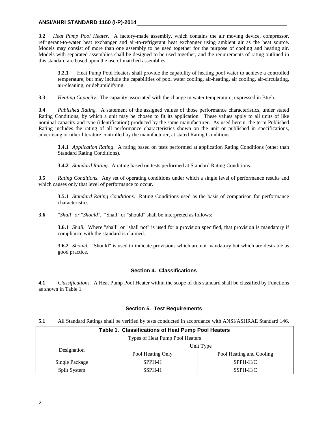#### **ANSI/AHRI STANDARD 1160 (I-P)-2014**

**3.2** *Heat Pump Pool Heater.* A factory-made assembly, which contains the air moving device, compressor, refrigerant-to-water heat exchanger and air-to-refrigerant heat exchanger using ambient air as the heat source. Models may consist of more than one assembly to be used together for the purpose of cooling and heating air. Models with separated assemblies shall be designed to be used together, and the requirements of rating outlined in this standard are based upon the use of matched assemblies.

**3.2.1** Heat Pump Pool Heaters shall provide the capability of heating pool water to achieve a controlled temperature, but may include the capabilities of pool water cooling, air-heating, air cooling, air-circulating, air-cleaning, or dehumidifying.

**3.3** *Heating Capacity.* The capacity associated with the change in water temperature, expressed in Btu/h.

**3.4** *Published Rating.* A statement of the assigned values of those performance characteristics, under stated Rating Conditions, by which a unit may be chosen to fit its application. These values apply to all units of like nominal capacity and type (identification) produced by the same manufacturer. As used herein, the term Published Rating includes the rating of all performance characteristics shown on the unit or published in specifications, advertising or other literature controlled by the manufacturer, at stated Rating Conditions.

**3.4.1** *Application Rating*. A rating based on tests performed at application Rating Conditions (other than Standard Rating Conditions).

**3.4.2** *Standard Rating*. A rating based on tests performed at Standard Rating Conditions.

**3.5** *Rating Conditions*. Any set of operating conditions under which a single level of performance results and which causes only that level of performance to occur.

**3.5.1** *Standard Rating Conditions*. Rating Conditions used as the basis of comparison for performance characteristics.

**3.6** *"Shall" or "Should".* "Shall" or "should" shall be interpreted as follows:

**3.6.1** *Shall.* Where "shall" or "shall not" is used for a provision specified, that provision is mandatory if compliance with the standard is claimed.

**3.6.2** *Should.* "Should" is used to indicate provisions which are not mandatory but which are desirable as good practice.

#### **Section 4. Classifications**

**4.1** *Classifications.* A Heat Pump Pool Heater within the scope of this standard shall be classified by Functions as shown in Table 1.

#### **Section 5. Test Requirements**

**5.1** All Standard Ratings shall be verified by tests conducted in accordance with ANSI/ASHRAE Standard 146.

| Table 1. Classifications of Heat Pump Pool Heaters |                   |                          |  |  |  |
|----------------------------------------------------|-------------------|--------------------------|--|--|--|
| Types of Heat Pump Pool Heaters                    |                   |                          |  |  |  |
|                                                    | Unit Type         |                          |  |  |  |
| Designation                                        | Pool Heating Only | Pool Heating and Cooling |  |  |  |
| Single Package<br>SPPH-H                           |                   | $SPPH-H/C$               |  |  |  |
| Split System                                       | SSPH-H            | SSPH-H/C                 |  |  |  |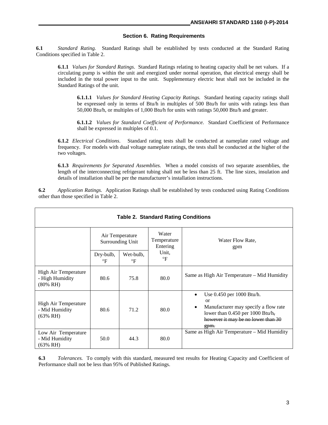#### **Section 6. Rating Requirements**

**6.1** *Standard Rating.* Standard Ratings shall be established by tests conducted at the Standard Rating Conditions specified in Table 2.

**6.1.1** *Values for Standard Ratings*.Standard Ratings relating to heating capacity shall be net values. If a circulating pump is within the unit and energized under normal operation, that electrical energy shall be included in the total power input to the unit. Supplementary electric heat shall not be included in the Standard Ratings of the unit.

**6.1.1.1** *Values for Standard Heating Capacity Ratings.* Standard heating capacity ratings shall be expressed only in terms of Btu/h in multiples of 500 Btu/h for units with ratings less than 50,000 Btu/h, or multiples of 1,000 Btu/h for units with ratings 50,000 Btu/h and greater.

**6.1.1.2** *Values for Standard Coefficient of Performance.* Standard Coefficient of Performance shall be expressed in multiples of 0.1.

**6.1.2** *Electrical Conditions*. Standard rating tests shall be conducted at nameplate rated voltage and frequency. For models with dual voltage nameplate ratings, the tests shall be conducted at the higher of the two voltages.

**6.1.3** *Requirements for Separated Assemblies.* When a model consists of two separate assemblies, the length of the interconnecting refrigerant tubing shall not be less than 25 ft. The line sizes, insulation and details of installation shall be per the manufacturer's installation instructions.

**6.2** *Application Ratings.* Application Ratings shall be established by tests conducted using Rating Conditions other than those specified in Table 2.

| <b>Table 2. Standard Rating Conditions</b>                |                                            |                        |                                                             |                                                                                                                                                                                             |  |  |  |
|-----------------------------------------------------------|--------------------------------------------|------------------------|-------------------------------------------------------------|---------------------------------------------------------------------------------------------------------------------------------------------------------------------------------------------|--|--|--|
|                                                           | Air Temperature<br><b>Surrounding Unit</b> |                        | Water<br>Temperature<br>Water Flow Rate,<br>Entering<br>gpm |                                                                                                                                                                                             |  |  |  |
|                                                           | Dry-bulb,<br>$\circ$ F                     | Wet-bulb,<br>$\circ$ F | Unit.<br>$\circ$ F                                          |                                                                                                                                                                                             |  |  |  |
| High Air Temperature<br>- High Humidity<br>$(80\% \; RH)$ | 80.6                                       | 75.8                   | 80.0                                                        | Same as High Air Temperature – Mid Humidity                                                                                                                                                 |  |  |  |
| High Air Temperature<br>- Mid Humidity<br>(63% RH)        | 80.6                                       | 71.2                   | 80.0                                                        | Use 0.450 per 1000 Btu/h.<br>$\bullet$<br>$\alpha$<br>Manufacturer may specify a flow rate<br>$\bullet$<br>lower than $0.450$ per 1000 Btu/h,<br>however it may be no lower than 30<br>gpm. |  |  |  |
| Low Air Temperature<br>- Mid Humidity<br>(63% RH)         | 50.0                                       | 44.3                   | 80.0                                                        | Same as High Air Temperature – Mid Humidity                                                                                                                                                 |  |  |  |

**6.3** *Tolerances.* To comply with this standard, measured test results for Heating Capacity and Coefficient of Performance shall not be less than 95% of Published Ratings.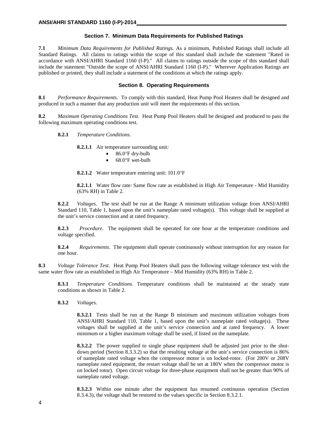#### **Section 7. Minimum Data Requirements for Published Ratings**

**7.1** *Minimum Data Requirements for Published Ratings.* As a minimum, Published Ratings shall include all Standard Ratings. All claims to ratings within the scope of this standard shall include the statement "Rated in accordance with ANSI/AHRI Standard 1160 (I-P)." All claims to ratings outside the scope of this standard shall include the statement "Outside the scope of ANSI/AHRI Standard 1160 (I-P)." Wherever Application Ratings are published or printed, they shall include a statement of the conditions at which the ratings apply.

#### **Section 8. Operating Requirements**

**8.1** *Performance Requirements*. To comply with this standard, Heat Pump Pool Heaters shall be designed and produced in such a manner that any production unit will meet the requirements of this section.

**8.2** *Maximum Operating Conditions Test*. Heat Pump Pool Heaters shall be designed and produced to pass the following maximum operating conditions test.

**8.2.1** *Temperature Conditions*.

**8.2.1.1** Air temperature surrounding unit*:*

- 86.0°F dry-bulb
- 68.0°F wet-bulb

**8.2.1.2** Water temperature entering unit: 101.0°F

**8.2.1.1** Water flow rate: Same flow rate as established in High Air Temperature - Mid Humidity (63% RH) in Table 2.

**8.2.2** *Voltages*. The test shall be run at the Range A minimum utilization voltage from ANSI/AHRI Standard 110, Table 1, based upon the unit's nameplate rated voltage(s). This voltage shall be supplied at the unit's service connection and at rated frequency.

**8.2.3** *Procedure*. The equipment shall be operated for one hour at the temperature conditions and voltage specified.

**8.2.4** *Requirements*. The equipment shall operate continuously without interruption for any reason for one hour.

**8.3** *Voltage Tolerance Test*. Heat Pump Pool Heaters shall pass the following voltage tolerance test with the same water flow rate as established in High Air Temperature – Mid Humidity (63% RH) in Table 2.

**8.3.1** *Temperature Conditions.* Temperature conditions shall be maintained at the steady state conditions as shown in Table 2.

**8.3.2** *Voltages.*

**8.3.2.1** Tests shall be run at the Range B minimum and maximum utilization voltages from ANSI/AHRI Standard 110, Table 1, based upon the unit's nameplate rated voltage(s). These voltages shall be supplied at the unit's service connection and at rated frequency. A lower minimum or a higher maximum voltage shall be used, if listed on the nameplate.

**8.3.2.2** The power supplied to single phase equipment shall be adjusted just prior to the shutdown period (Section 8.3.3.2) so that the resulting voltage at the unit's service connection is 86% of nameplate rated voltage when the compressor motor is on locked-rotor. (For 200V or 208V nameplate rated equipment, the restart voltage shall be set at 180V when the compressor motor is on locked rotor). Open circuit voltage for three-phase equipment shall not be greater than 90% of nameplate rated voltage.

**8.3.2.3** Within one minute after the equipment has resumed continuous operation (Section 8.3.4.3), the voltage shall be restored to the values specific in Section 8.3.2.1.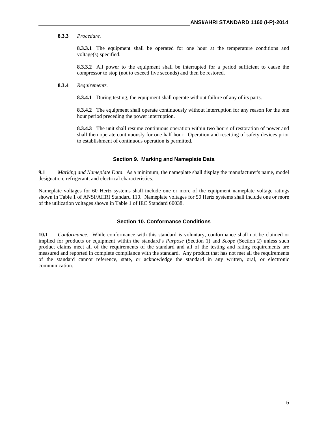#### **8.3.3** *Procedure.*

**8.3.3.1** The equipment shall be operated for one hour at the temperature conditions and voltage(s) specified.

**8.3.3.2** All power to the equipment shall be interrupted for a period sufficient to cause the compressor to stop (not to exceed five seconds) and then be restored.

#### **8.3.4** *Requirements.*

**8.3.4.1** During testing, the equipment shall operate without failure of any of its parts.

**8.3.4.2** The equipment shall operate continuously without interruption for any reason for the one hour period preceding the power interruption.

**8.3.4.3** The unit shall resume continuous operation within two hours of restoration of power and shall then operate continuously for one half hour. Operation and resetting of safety devices prior to establishment of continuous operation is permitted.

#### **Section 9. Marking and Nameplate Data**

**9.1** *Marking and Nameplate Data*. As a minimum, the nameplate shall display the manufacturer's name, model designation, refrigerant, and electrical characteristics.

Nameplate voltages for 60 Hertz systems shall include one or more of the equipment nameplate voltage ratings shown in Table 1 of ANSI/AHRI Standard 110. Nameplate voltages for 50 Hertz systems shall include one or more of the utilization voltages shown in Table 1 of IEC Standard 60038.

#### **Section 10. Conformance Conditions**

**10.1** *Conformance*. While conformance with this standard is voluntary, conformance shall not be claimed or implied for products or equipment within the standard's *Purpose* (Section 1) and *Scope* (Section 2) unless such product claims meet all of the requirements of the standard and all of the testing and rating requirements are measured and reported in complete compliance with the standard. Any product that has not met all the requirements of the standard cannot reference, state, or acknowledge the standard in any written, oral, or electronic communication.